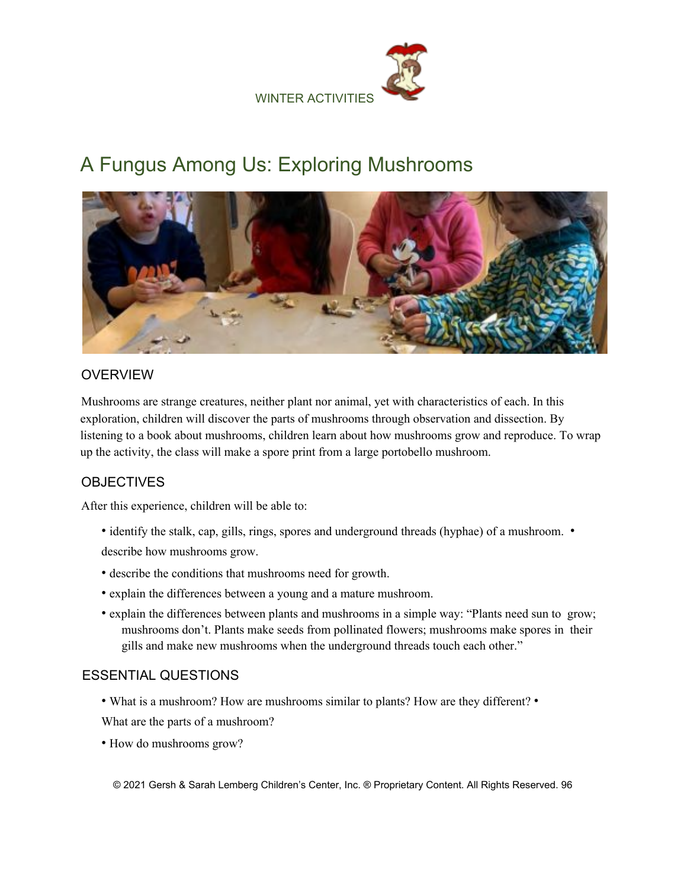

# A Fungus Among Us: Exploring Mushrooms



## OVERVIEW

Mushrooms are strange creatures, neither plant nor animal, yet with characteristics of each. In this exploration, children will discover the parts of mushrooms through observation and dissection. By listening to a book about mushrooms, children learn about how mushrooms grow and reproduce. To wrap up the activity, the class will make a spore print from a large portobello mushroom.

# **OBJECTIVES**

After this experience, children will be able to:

- identify the stalk, cap, gills, rings, spores and underground threads (hyphae) of a mushroom. describe how mushrooms grow.
- describe the conditions that mushrooms need for growth.
- explain the differences between a young and a mature mushroom.
- explain the differences between plants and mushrooms in a simple way: "Plants need sun to grow; mushrooms don't. Plants make seeds from pollinated flowers; mushrooms make spores in their gills and make new mushrooms when the underground threads touch each other."

## ESSENTIAL QUESTIONS

- What is a mushroom? How are mushrooms similar to plants? How are they different? •
- What are the parts of a mushroom?
- How do mushrooms grow?

© 2021 Gersh & Sarah Lemberg Children's Center, Inc. ® Proprietary Content. All Rights Reserved. 96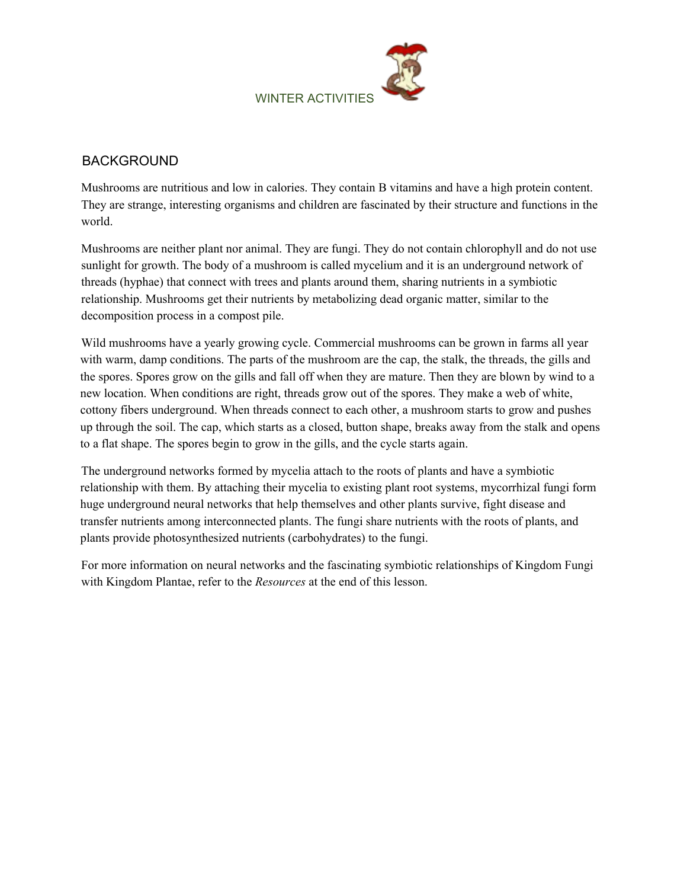

## BACKGROUND

Mushrooms are nutritious and low in calories. They contain B vitamins and have a high protein content. They are strange, interesting organisms and children are fascinated by their structure and functions in the world.

Mushrooms are neither plant nor animal. They are fungi. They do not contain chlorophyll and do not use sunlight for growth. The body of a mushroom is called mycelium and it is an underground network of threads (hyphae) that connect with trees and plants around them, sharing nutrients in a symbiotic relationship. Mushrooms get their nutrients by metabolizing dead organic matter, similar to the decomposition process in a compost pile.

Wild mushrooms have a yearly growing cycle. Commercial mushrooms can be grown in farms all year with warm, damp conditions. The parts of the mushroom are the cap, the stalk, the threads, the gills and the spores. Spores grow on the gills and fall off when they are mature. Then they are blown by wind to a new location. When conditions are right, threads grow out of the spores. They make a web of white, cottony fibers underground. When threads connect to each other, a mushroom starts to grow and pushes up through the soil. The cap, which starts as a closed, button shape, breaks away from the stalk and opens to a flat shape. The spores begin to grow in the gills, and the cycle starts again.

The underground networks formed by mycelia attach to the roots of plants and have a symbiotic relationship with them. By attaching their mycelia to existing plant root systems, mycorrhizal fungi form huge underground neural networks that help themselves and other plants survive, fight disease and transfer nutrients among interconnected plants. The fungi share nutrients with the roots of plants, and plants provide photosynthesized nutrients (carbohydrates) to the fungi.

For more information on neural networks and the fascinating symbiotic relationships of Kingdom Fungi with Kingdom Plantae, refer to the *Resources* at the end of this lesson.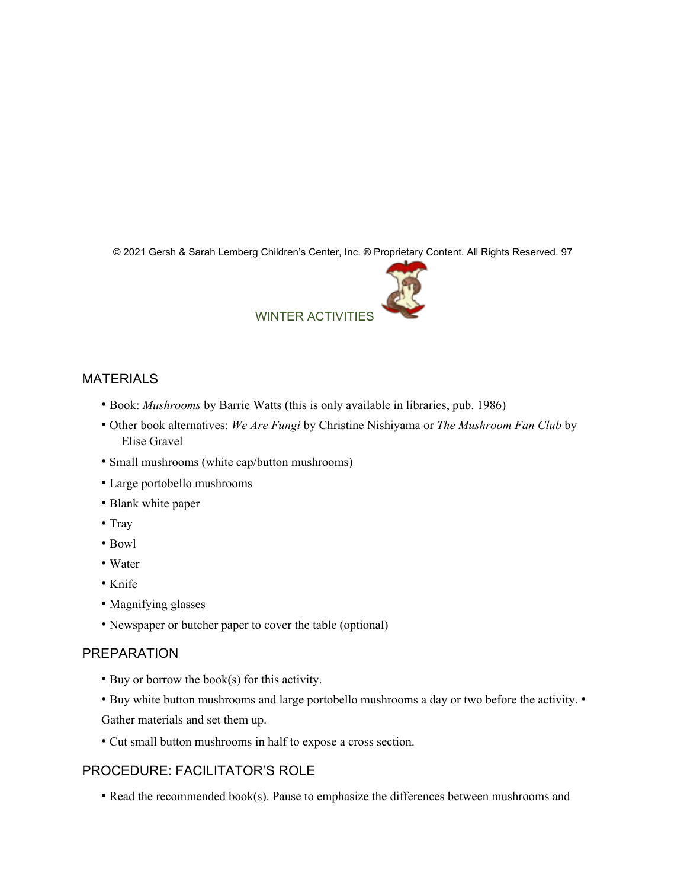© 2021 Gersh & Sarah Lemberg Children's Center, Inc. ® Proprietary Content. All Rights Reserved. 97



## MATERIALS

- Book: *Mushrooms* by Barrie Watts (this is only available in libraries, pub. 1986)
- Other book alternatives: *We Are Fungi* by Christine Nishiyama or *The Mushroom Fan Club* by Elise Gravel
- Small mushrooms (white cap/button mushrooms)
- Large portobello mushrooms
- Blank white paper
- Tray
- Bowl
- Water
- Knife
- Magnifying glasses
- Newspaper or butcher paper to cover the table (optional)

#### PREPARATION

- Buy or borrow the book(s) for this activity.
- Buy white button mushrooms and large portobello mushrooms a day or two before the activity. Gather materials and set them up.
- Cut small button mushrooms in half to expose a cross section.

# PROCEDURE: FACILITATOR'S ROLE

• Read the recommended book(s). Pause to emphasize the differences between mushrooms and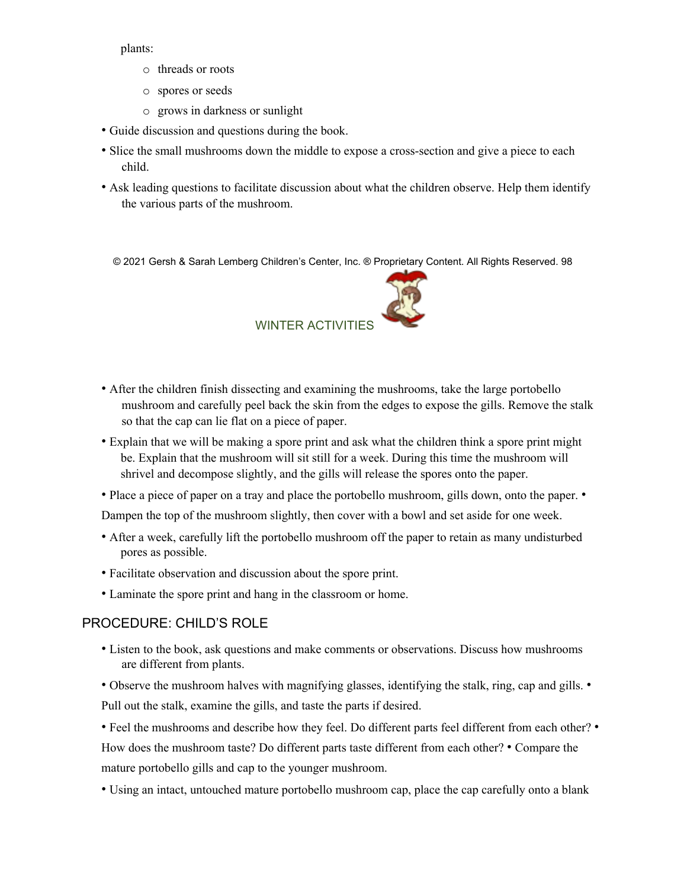plants:

- o threads or roots
- o spores or seeds
- o grows in darkness or sunlight
- Guide discussion and questions during the book.
- Slice the small mushrooms down the middle to expose a cross-section and give a piece to each child.
- Ask leading questions to facilitate discussion about what the children observe. Help them identify the various parts of the mushroom.

© 2021 Gersh & Sarah Lemberg Children's Center, Inc. ® Proprietary Content. All Rights Reserved. 98



- After the children finish dissecting and examining the mushrooms, take the large portobello mushroom and carefully peel back the skin from the edges to expose the gills. Remove the stalk so that the cap can lie flat on a piece of paper.
- Explain that we will be making a spore print and ask what the children think a spore print might be. Explain that the mushroom will sit still for a week. During this time the mushroom will shrivel and decompose slightly, and the gills will release the spores onto the paper.
- Place a piece of paper on a tray and place the portobello mushroom, gills down, onto the paper. •

Dampen the top of the mushroom slightly, then cover with a bowl and set aside for one week.

- After a week, carefully lift the portobello mushroom off the paper to retain as many undisturbed pores as possible.
- Facilitate observation and discussion about the spore print.
- Laminate the spore print and hang in the classroom or home.

## PROCEDURE: CHILD'S ROLE

• Listen to the book, ask questions and make comments or observations. Discuss how mushrooms are different from plants.

• Observe the mushroom halves with magnifying glasses, identifying the stalk, ring, cap and gills. • Pull out the stalk, examine the gills, and taste the parts if desired.

• Feel the mushrooms and describe how they feel. Do different parts feel different from each other? • How does the mushroom taste? Do different parts taste different from each other? • Compare the mature portobello gills and cap to the younger mushroom.

• Using an intact, untouched mature portobello mushroom cap, place the cap carefully onto a blank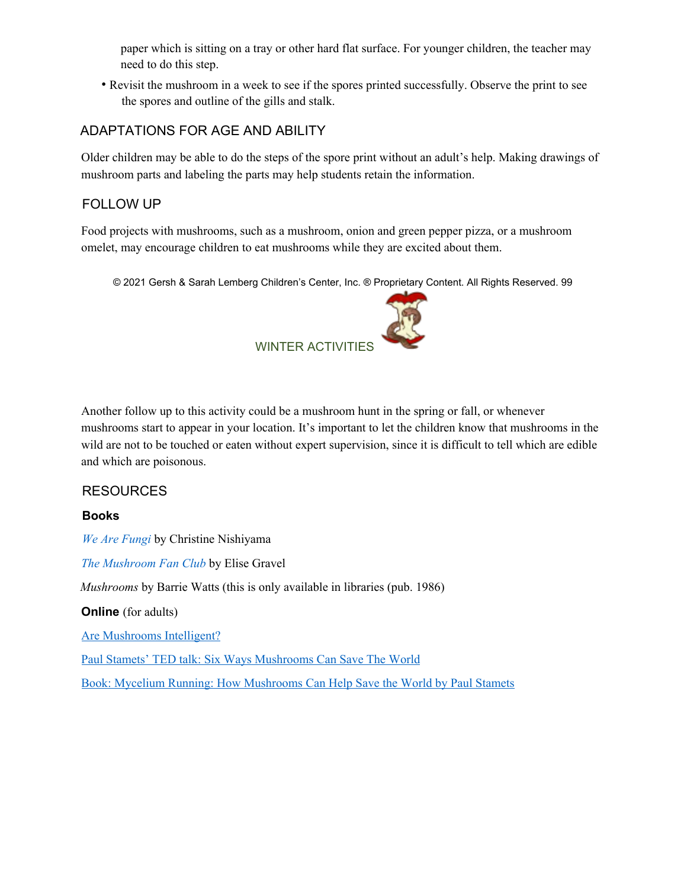paper which is sitting on a tray or other hard flat surface. For younger children, the teacher may need to do this step.

• Revisit the mushroom in a week to see if the spores printed successfully. Observe the print to see the spores and outline of the gills and stalk.

## ADAPTATIONS FOR AGE AND ABILITY

Older children may be able to do the steps of the spore print without an adult's help. Making drawings of mushroom parts and labeling the parts may help students retain the information.

## FOLLOW UP

Food projects with mushrooms, such as a mushroom, onion and green pepper pizza, or a mushroom omelet, may encourage children to eat mushrooms while they are excited about them.

© 2021 Gersh & Sarah Lemberg Children's Center, Inc. ® Proprietary Content. All Rights Reserved. 99



Another follow up to this activity could be a mushroom hunt in the spring or fall, or whenever mushrooms start to appear in your location. It's important to let the children know that mushrooms in the wild are not to be touched or eaten without expert supervision, since it is difficult to tell which are edible and which are poisonous.

## RESOURCES

#### **Books**

*We Are Fungi* by Christine Nishiyama

*The Mushroom Fan Club* by Elise Gravel

*Mushrooms* by Barrie Watts (this is only available in libraries (pub. 1986)

**Online** (for adults)

Are Mushrooms Intelligent?

Paul Stamets' TED talk: Six Ways Mushrooms Can Save The World

Book: Mycelium Running: How Mushrooms Can Help Save the World by Paul Stamets